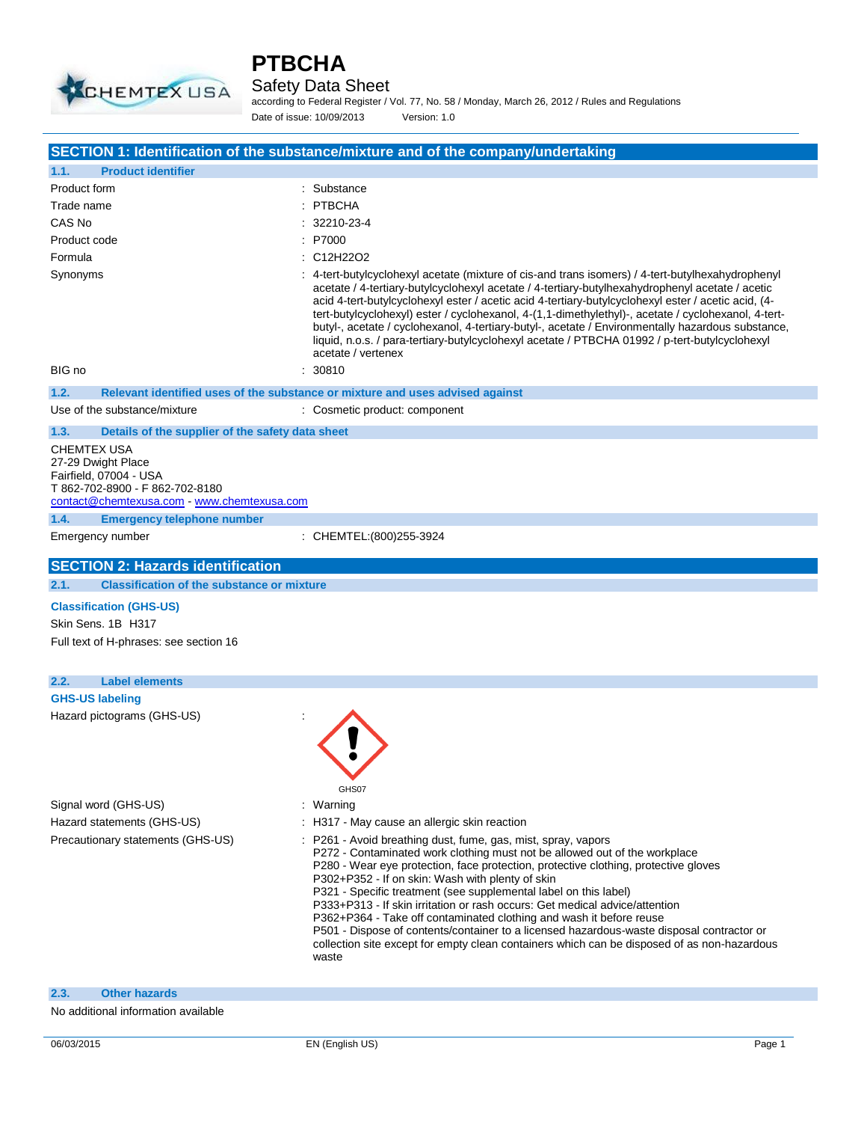

### Safety Data Sheet

according to Federal Register / Vol. 77, No. 58 / Monday, March 26, 2012 / Rules and Regulations Date of issue: 10/09/2013 Version: 1.0

|                                                                                                                                               | SECTION 1: Identification of the substance/mixture and of the company/undertaking                                                                                                                                                                                                                                                                                                                                                                                                                                                                                                                                                                                                                                     |
|-----------------------------------------------------------------------------------------------------------------------------------------------|-----------------------------------------------------------------------------------------------------------------------------------------------------------------------------------------------------------------------------------------------------------------------------------------------------------------------------------------------------------------------------------------------------------------------------------------------------------------------------------------------------------------------------------------------------------------------------------------------------------------------------------------------------------------------------------------------------------------------|
| <b>Product identifier</b><br>1.1.                                                                                                             |                                                                                                                                                                                                                                                                                                                                                                                                                                                                                                                                                                                                                                                                                                                       |
| Product form                                                                                                                                  | : Substance                                                                                                                                                                                                                                                                                                                                                                                                                                                                                                                                                                                                                                                                                                           |
| Trade name                                                                                                                                    | : PTBCHA                                                                                                                                                                                                                                                                                                                                                                                                                                                                                                                                                                                                                                                                                                              |
| CAS No                                                                                                                                        | : 32210-23-4                                                                                                                                                                                                                                                                                                                                                                                                                                                                                                                                                                                                                                                                                                          |
| Product code                                                                                                                                  | : P7000                                                                                                                                                                                                                                                                                                                                                                                                                                                                                                                                                                                                                                                                                                               |
| Formula                                                                                                                                       | : C12H22O2                                                                                                                                                                                                                                                                                                                                                                                                                                                                                                                                                                                                                                                                                                            |
| Synonyms<br>BIG no                                                                                                                            | : 4-tert-butylcyclohexyl acetate (mixture of cis-and trans isomers) / 4-tert-butylhexahydrophenyl<br>acetate / 4-tertiary-butylcyclohexyl acetate / 4-tertiary-butylhexahydrophenyl acetate / acetic<br>acid 4-tert-butylcyclohexyl ester / acetic acid 4-tertiary-butylcyclohexyl ester / acetic acid, (4-<br>tert-butylcyclohexyl) ester / cyclohexanol, 4-(1,1-dimethylethyl)-, acetate / cyclohexanol, 4-tert-<br>butyl-, acetate / cyclohexanol, 4-tertiary-butyl-, acetate / Environmentally hazardous substance,<br>liquid, n.o.s. / para-tertiary-butylcyclohexyl acetate / PTBCHA 01992 / p-tert-butylcyclohexyl<br>acetate / vertenex<br>30810                                                              |
|                                                                                                                                               |                                                                                                                                                                                                                                                                                                                                                                                                                                                                                                                                                                                                                                                                                                                       |
| 1.2.                                                                                                                                          | Relevant identified uses of the substance or mixture and uses advised against                                                                                                                                                                                                                                                                                                                                                                                                                                                                                                                                                                                                                                         |
| Use of the substance/mixture                                                                                                                  | : Cosmetic product: component                                                                                                                                                                                                                                                                                                                                                                                                                                                                                                                                                                                                                                                                                         |
| 1.3.<br>Details of the supplier of the safety data sheet                                                                                      |                                                                                                                                                                                                                                                                                                                                                                                                                                                                                                                                                                                                                                                                                                                       |
| CHEMTEX USA<br>27-29 Dwight Place<br>Fairfield, 07004 - USA<br>T 862-702-8900 - F 862-702-8180<br>contact@chemtexusa.com - www.chemtexusa.com |                                                                                                                                                                                                                                                                                                                                                                                                                                                                                                                                                                                                                                                                                                                       |
| 1.4.<br><b>Emergency telephone number</b>                                                                                                     |                                                                                                                                                                                                                                                                                                                                                                                                                                                                                                                                                                                                                                                                                                                       |
| Emergency number                                                                                                                              | : CHEMTEL: (800) 255-3924                                                                                                                                                                                                                                                                                                                                                                                                                                                                                                                                                                                                                                                                                             |
| <b>SECTION 2: Hazards identification</b>                                                                                                      |                                                                                                                                                                                                                                                                                                                                                                                                                                                                                                                                                                                                                                                                                                                       |
| 2.1.<br><b>Classification of the substance or mixture</b>                                                                                     |                                                                                                                                                                                                                                                                                                                                                                                                                                                                                                                                                                                                                                                                                                                       |
| <b>Classification (GHS-US)</b><br>Skin Sens. 1B H317<br>Full text of H-phrases: see section 16                                                |                                                                                                                                                                                                                                                                                                                                                                                                                                                                                                                                                                                                                                                                                                                       |
| 2.2.<br><b>Label elements</b>                                                                                                                 |                                                                                                                                                                                                                                                                                                                                                                                                                                                                                                                                                                                                                                                                                                                       |
| <b>GHS-US labeling</b>                                                                                                                        |                                                                                                                                                                                                                                                                                                                                                                                                                                                                                                                                                                                                                                                                                                                       |
| Hazard pictograms (GHS-US)                                                                                                                    | GHS07                                                                                                                                                                                                                                                                                                                                                                                                                                                                                                                                                                                                                                                                                                                 |
| Signal word (GHS-US)                                                                                                                          | : Warning                                                                                                                                                                                                                                                                                                                                                                                                                                                                                                                                                                                                                                                                                                             |
| Hazard statements (GHS-US)                                                                                                                    | : H317 - May cause an allergic skin reaction                                                                                                                                                                                                                                                                                                                                                                                                                                                                                                                                                                                                                                                                          |
| Precautionary statements (GHS-US)                                                                                                             | : P261 - Avoid breathing dust, fume, gas, mist, spray, vapors<br>P272 - Contaminated work clothing must not be allowed out of the workplace<br>P280 - Wear eye protection, face protection, protective clothing, protective gloves<br>P302+P352 - If on skin: Wash with plenty of skin<br>P321 - Specific treatment (see supplemental label on this label)<br>P333+P313 - If skin irritation or rash occurs: Get medical advice/attention<br>P362+P364 - Take off contaminated clothing and wash it before reuse<br>P501 - Dispose of contents/container to a licensed hazardous-waste disposal contractor or<br>collection site except for empty clean containers which can be disposed of as non-hazardous<br>waste |
| 2.3.<br><b>Other hazards</b>                                                                                                                  |                                                                                                                                                                                                                                                                                                                                                                                                                                                                                                                                                                                                                                                                                                                       |
|                                                                                                                                               |                                                                                                                                                                                                                                                                                                                                                                                                                                                                                                                                                                                                                                                                                                                       |

### No additional information available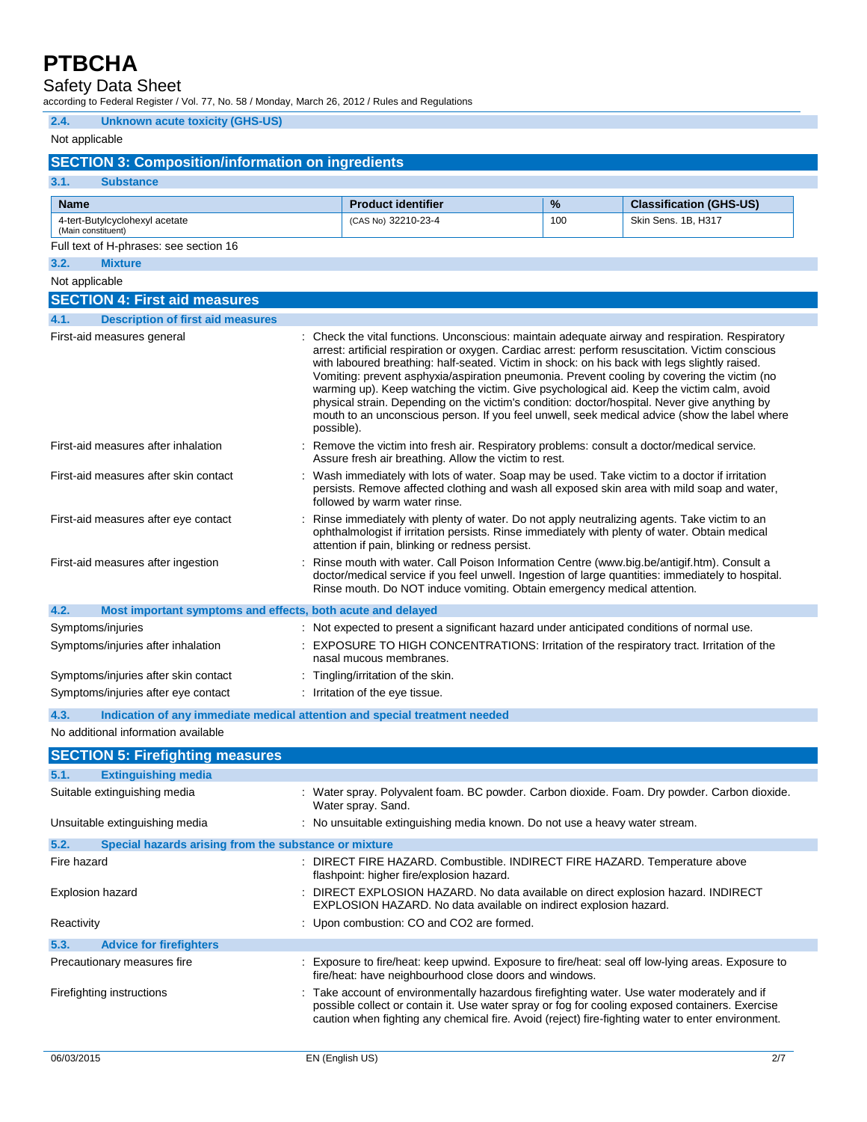Safety Data Sheet

according to Federal Register / Vol. 77, No. 58 / Monday, March 26, 2012 / Rules and Regulations

### **2.4. Unknown acute toxicity (GHS-US)**

### Not applicable

### **SECTION 3: Composition/information on ingredients**

| 3.1.                                 | <b>Substance</b>                                                           |                                    |                                                                                                                                                                                                                                                                                                                                                                                                                                                                                                                                                                                                                                                                                                      |     |                                |
|--------------------------------------|----------------------------------------------------------------------------|------------------------------------|------------------------------------------------------------------------------------------------------------------------------------------------------------------------------------------------------------------------------------------------------------------------------------------------------------------------------------------------------------------------------------------------------------------------------------------------------------------------------------------------------------------------------------------------------------------------------------------------------------------------------------------------------------------------------------------------------|-----|--------------------------------|
| <b>Name</b>                          |                                                                            |                                    | <b>Product identifier</b>                                                                                                                                                                                                                                                                                                                                                                                                                                                                                                                                                                                                                                                                            | %   | <b>Classification (GHS-US)</b> |
| (Main constituent)                   | 4-tert-Butylcyclohexyl acetate                                             |                                    | (CAS No) 32210-23-4                                                                                                                                                                                                                                                                                                                                                                                                                                                                                                                                                                                                                                                                                  | 100 | Skin Sens. 1B, H317            |
|                                      | Full text of H-phrases: see section 16                                     |                                    |                                                                                                                                                                                                                                                                                                                                                                                                                                                                                                                                                                                                                                                                                                      |     |                                |
| 3.2.                                 | <b>Mixture</b>                                                             |                                    |                                                                                                                                                                                                                                                                                                                                                                                                                                                                                                                                                                                                                                                                                                      |     |                                |
| Not applicable                       |                                                                            |                                    |                                                                                                                                                                                                                                                                                                                                                                                                                                                                                                                                                                                                                                                                                                      |     |                                |
|                                      | <b>SECTION 4: First aid measures</b>                                       |                                    |                                                                                                                                                                                                                                                                                                                                                                                                                                                                                                                                                                                                                                                                                                      |     |                                |
| 4.1.                                 | <b>Description of first aid measures</b>                                   |                                    |                                                                                                                                                                                                                                                                                                                                                                                                                                                                                                                                                                                                                                                                                                      |     |                                |
|                                      | First-aid measures general                                                 | possible).                         | : Check the vital functions. Unconscious: maintain adequate airway and respiration. Respiratory<br>arrest: artificial respiration or oxygen. Cardiac arrest: perform resuscitation. Victim conscious<br>with laboured breathing: half-seated. Victim in shock: on his back with legs slightly raised.<br>Vomiting: prevent asphyxia/aspiration pneumonia. Prevent cooling by covering the victim (no<br>warming up). Keep watching the victim. Give psychological aid. Keep the victim calm, avoid<br>physical strain. Depending on the victim's condition: doctor/hospital. Never give anything by<br>mouth to an unconscious person. If you feel unwell, seek medical advice (show the label where |     |                                |
|                                      | First-aid measures after inhalation                                        |                                    | : Remove the victim into fresh air. Respiratory problems: consult a doctor/medical service.<br>Assure fresh air breathing. Allow the victim to rest.                                                                                                                                                                                                                                                                                                                                                                                                                                                                                                                                                 |     |                                |
|                                      | First-aid measures after skin contact                                      |                                    | : Wash immediately with lots of water. Soap may be used. Take victim to a doctor if irritation<br>persists. Remove affected clothing and wash all exposed skin area with mild soap and water,<br>followed by warm water rinse.                                                                                                                                                                                                                                                                                                                                                                                                                                                                       |     |                                |
|                                      | First-aid measures after eye contact                                       |                                    | Rinse immediately with plenty of water. Do not apply neutralizing agents. Take victim to an<br>ophthalmologist if irritation persists. Rinse immediately with plenty of water. Obtain medical<br>attention if pain, blinking or redness persist.                                                                                                                                                                                                                                                                                                                                                                                                                                                     |     |                                |
|                                      | First-aid measures after ingestion                                         |                                    | Rinse mouth with water. Call Poison Information Centre (www.big.be/antigif.htm). Consult a<br>doctor/medical service if you feel unwell. Ingestion of large quantities: immediately to hospital.<br>Rinse mouth. Do NOT induce vomiting. Obtain emergency medical attention.                                                                                                                                                                                                                                                                                                                                                                                                                         |     |                                |
| 4.2.                                 | Most important symptoms and effects, both acute and delayed                |                                    |                                                                                                                                                                                                                                                                                                                                                                                                                                                                                                                                                                                                                                                                                                      |     |                                |
|                                      | Symptoms/injuries                                                          |                                    | : Not expected to present a significant hazard under anticipated conditions of normal use.                                                                                                                                                                                                                                                                                                                                                                                                                                                                                                                                                                                                           |     |                                |
|                                      | Symptoms/injuries after inhalation                                         |                                    | : EXPOSURE TO HIGH CONCENTRATIONS: Irritation of the respiratory tract. Irritation of the<br>nasal mucous membranes.                                                                                                                                                                                                                                                                                                                                                                                                                                                                                                                                                                                 |     |                                |
| Symptoms/injuries after skin contact |                                                                            | : Tingling/irritation of the skin. |                                                                                                                                                                                                                                                                                                                                                                                                                                                                                                                                                                                                                                                                                                      |     |                                |
|                                      | Symptoms/injuries after eye contact                                        |                                    | : Irritation of the eye tissue.                                                                                                                                                                                                                                                                                                                                                                                                                                                                                                                                                                                                                                                                      |     |                                |
| 4.3.                                 | Indication of any immediate medical attention and special treatment needed |                                    |                                                                                                                                                                                                                                                                                                                                                                                                                                                                                                                                                                                                                                                                                                      |     |                                |
|                                      | No additional information available                                        |                                    |                                                                                                                                                                                                                                                                                                                                                                                                                                                                                                                                                                                                                                                                                                      |     |                                |
|                                      | <b>SECTION 5: Firefighting measures</b>                                    |                                    |                                                                                                                                                                                                                                                                                                                                                                                                                                                                                                                                                                                                                                                                                                      |     |                                |
| 5.1.                                 | <b>Extinguishing media</b>                                                 |                                    |                                                                                                                                                                                                                                                                                                                                                                                                                                                                                                                                                                                                                                                                                                      |     |                                |
|                                      | Suitable extinguishing media                                               |                                    | : Water spray. Polyvalent foam. BC powder. Carbon dioxide. Foam. Dry powder. Carbon dioxide.<br>Water spray. Sand.                                                                                                                                                                                                                                                                                                                                                                                                                                                                                                                                                                                   |     |                                |
|                                      | Unsuitable extinguishing media                                             |                                    | : No unsuitable extinguishing media known. Do not use a heavy water stream.                                                                                                                                                                                                                                                                                                                                                                                                                                                                                                                                                                                                                          |     |                                |
| 5.2.                                 | Special hazards arising from the substance or mixture                      |                                    |                                                                                                                                                                                                                                                                                                                                                                                                                                                                                                                                                                                                                                                                                                      |     |                                |
| Fire hazard                          |                                                                            |                                    | : DIRECT FIRE HAZARD. Combustible. INDIRECT FIRE HAZARD. Temperature above<br>flashpoint: higher fire/explosion hazard.                                                                                                                                                                                                                                                                                                                                                                                                                                                                                                                                                                              |     |                                |
| <b>Explosion hazard</b>              |                                                                            |                                    | : DIRECT EXPLOSION HAZARD. No data available on direct explosion hazard. INDIRECT<br>EXPLOSION HAZARD. No data available on indirect explosion hazard.                                                                                                                                                                                                                                                                                                                                                                                                                                                                                                                                               |     |                                |
| Reactivity                           |                                                                            |                                    | : Upon combustion: CO and CO2 are formed.                                                                                                                                                                                                                                                                                                                                                                                                                                                                                                                                                                                                                                                            |     |                                |
| 5.3.                                 | <b>Advice for firefighters</b>                                             |                                    |                                                                                                                                                                                                                                                                                                                                                                                                                                                                                                                                                                                                                                                                                                      |     |                                |
|                                      | Precautionary measures fire                                                |                                    | : Exposure to fire/heat: keep upwind. Exposure to fire/heat: seal off low-lying areas. Exposure to<br>fire/heat: have neighbourhood close doors and windows.                                                                                                                                                                                                                                                                                                                                                                                                                                                                                                                                         |     |                                |
|                                      | Firefighting instructions                                                  |                                    | Take account of environmentally hazardous firefighting water. Use water moderately and if<br>possible collect or contain it. Use water spray or fog for cooling exposed containers. Exercise<br>caution when fighting any chemical fire. Avoid (reject) fire-fighting water to enter environment.                                                                                                                                                                                                                                                                                                                                                                                                    |     |                                |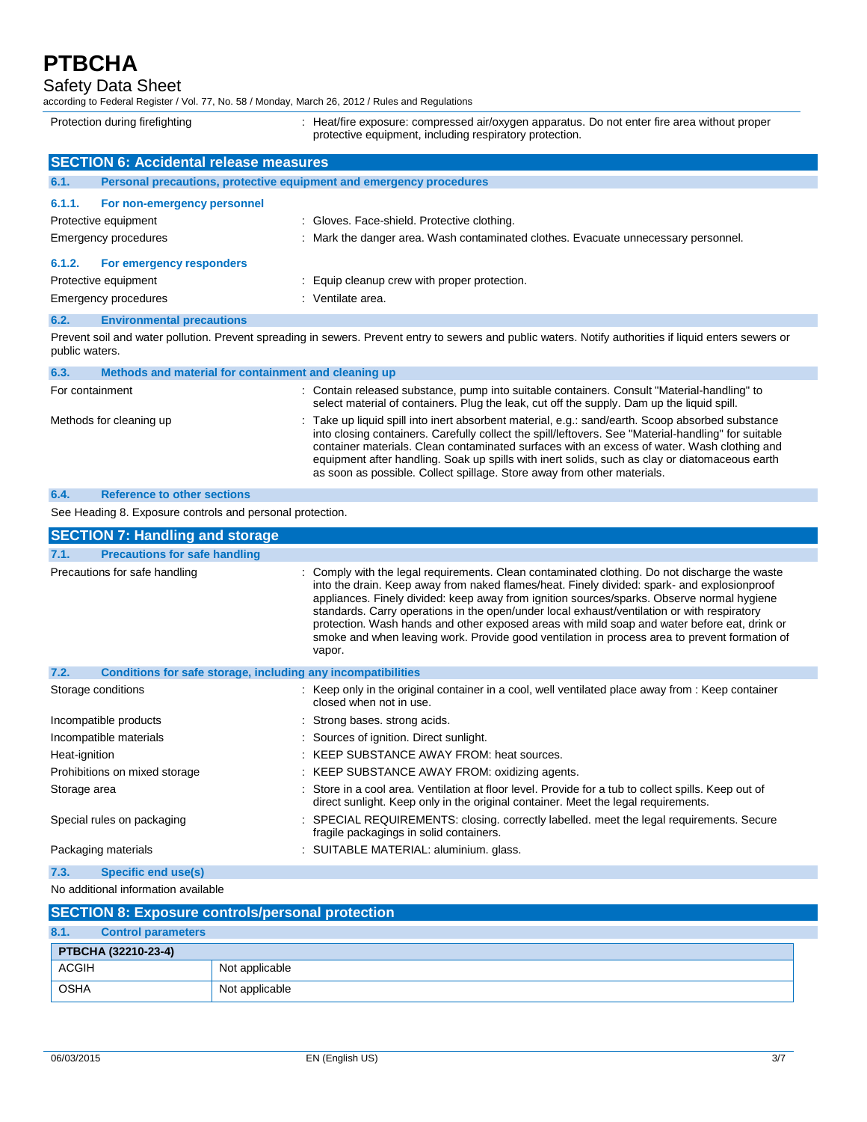Safety Data Sheet

according to Federal Register / Vol. 77, No. 58 / Monday, March 26, 2012 / Rules and Regulations

Protection during firefighting **intercontagative and the exposure:** compressed air/oxygen apparatus. Do not enter fire area without proper protective equipment, including respiratory protection.

|        | <b>SECTION 6: Accidental release measures</b>                       |                                                                                                                                                         |  |
|--------|---------------------------------------------------------------------|---------------------------------------------------------------------------------------------------------------------------------------------------------|--|
| 6.1.   | Personal precautions, protective equipment and emergency procedures |                                                                                                                                                         |  |
| 6.1.1. | For non-emergency personnel                                         |                                                                                                                                                         |  |
|        | Protective equipment                                                | : Gloves. Face-shield. Protective clothing.                                                                                                             |  |
|        | Emergency procedures                                                | : Mark the danger area. Wash contaminated clothes. Evacuate unnecessary personnel.                                                                      |  |
| 6.1.2. | For emergency responders                                            |                                                                                                                                                         |  |
|        | Protective equipment                                                | : Equip cleanup crew with proper protection.                                                                                                            |  |
|        | Emergency procedures                                                | : Ventilate area.                                                                                                                                       |  |
| 6.2.   | <b>Environmental precautions</b>                                    |                                                                                                                                                         |  |
|        |                                                                     | Provent soil and water pollution. Provent spreading in sewers, Provent entry to sewers and public waters. Notify authorities if liquid enters sewers or |  |

Prevent soil and water pollution. Prevent spreading in sewers. Prevent entry to sewers and public waters. Notify authorities if liquid enters sewers or public waters.

| 6.3.                    | Methods and material for containment and cleaning up |                                                                                                                                                                                                                                                                                                                                                                                                                                                                                      |
|-------------------------|------------------------------------------------------|--------------------------------------------------------------------------------------------------------------------------------------------------------------------------------------------------------------------------------------------------------------------------------------------------------------------------------------------------------------------------------------------------------------------------------------------------------------------------------------|
| For containment         |                                                      | : Contain released substance, pump into suitable containers. Consult "Material-handling" to<br>select material of containers. Plug the leak, cut off the supply. Dam up the liquid spill.                                                                                                                                                                                                                                                                                            |
| Methods for cleaning up |                                                      | : Take up liquid spill into inert absorbent material, e.g.: sand/earth. Scoop absorbed substance<br>into closing containers. Carefully collect the spill/leftovers. See "Material-handling" for suitable<br>container materials. Clean contaminated surfaces with an excess of water. Wash clothing and<br>equipment after handling. Soak up spills with inert solids, such as clay or diatomaceous earth<br>as soon as possible. Collect spillage. Store away from other materials. |
| 6.4.                    | <b>Reference to other sections</b>                   |                                                                                                                                                                                                                                                                                                                                                                                                                                                                                      |

See Heading 8. Exposure controls and personal protection.

| <b>SECTION 7: Handling and storage</b>                               |                                                                                                                                                                                                                                                                                                                                                                                                                                                                                                                                                                                                      |  |
|----------------------------------------------------------------------|------------------------------------------------------------------------------------------------------------------------------------------------------------------------------------------------------------------------------------------------------------------------------------------------------------------------------------------------------------------------------------------------------------------------------------------------------------------------------------------------------------------------------------------------------------------------------------------------------|--|
| <b>Precautions for safe handling</b><br>7.1.                         |                                                                                                                                                                                                                                                                                                                                                                                                                                                                                                                                                                                                      |  |
| Precautions for safe handling                                        | : Comply with the legal requirements. Clean contaminated clothing. Do not discharge the waste<br>into the drain. Keep away from naked flames/heat. Finely divided: spark- and explosionproof<br>appliances. Finely divided: keep away from ignition sources/sparks. Observe normal hygiene<br>standards. Carry operations in the open/under local exhaust/ventilation or with respiratory<br>protection. Wash hands and other exposed areas with mild soap and water before eat, drink or<br>smoke and when leaving work. Provide good ventilation in process area to prevent formation of<br>vapor. |  |
| 7.2.<br>Conditions for safe storage, including any incompatibilities |                                                                                                                                                                                                                                                                                                                                                                                                                                                                                                                                                                                                      |  |
| Storage conditions                                                   | : Keep only in the original container in a cool, well ventilated place away from : Keep container<br>closed when not in use.                                                                                                                                                                                                                                                                                                                                                                                                                                                                         |  |
| Incompatible products                                                | : Strong bases, strong acids.                                                                                                                                                                                                                                                                                                                                                                                                                                                                                                                                                                        |  |
| Incompatible materials                                               | : Sources of ignition. Direct sunlight.                                                                                                                                                                                                                                                                                                                                                                                                                                                                                                                                                              |  |
| Heat-ignition                                                        | : KEEP SUBSTANCE AWAY FROM: heat sources.                                                                                                                                                                                                                                                                                                                                                                                                                                                                                                                                                            |  |
| Prohibitions on mixed storage                                        | : KEEP SUBSTANCE AWAY FROM: oxidizing agents.                                                                                                                                                                                                                                                                                                                                                                                                                                                                                                                                                        |  |
| Storage area                                                         | : Store in a cool area. Ventilation at floor level. Provide for a tub to collect spills. Keep out of<br>direct sunlight. Keep only in the original container. Meet the legal requirements.                                                                                                                                                                                                                                                                                                                                                                                                           |  |
| Special rules on packaging                                           | : SPECIAL REQUIREMENTS: closing. correctly labelled. meet the legal requirements. Secure<br>fragile packagings in solid containers.                                                                                                                                                                                                                                                                                                                                                                                                                                                                  |  |
| Packaging materials                                                  | : SUITABLE MATERIAL: aluminium. glass.                                                                                                                                                                                                                                                                                                                                                                                                                                                                                                                                                               |  |
| <b>Specific end use(s)</b><br>7.3.                                   |                                                                                                                                                                                                                                                                                                                                                                                                                                                                                                                                                                                                      |  |

No additional information available

|              | <b>SECTION 8: Exposure controls/personal protection</b> |                |  |  |
|--------------|---------------------------------------------------------|----------------|--|--|
| 8.1.         | <b>Control parameters</b>                               |                |  |  |
|              | PTBCHA (32210-23-4)                                     |                |  |  |
| <b>ACGIH</b> |                                                         | Not applicable |  |  |
| <b>OSHA</b>  |                                                         | Not applicable |  |  |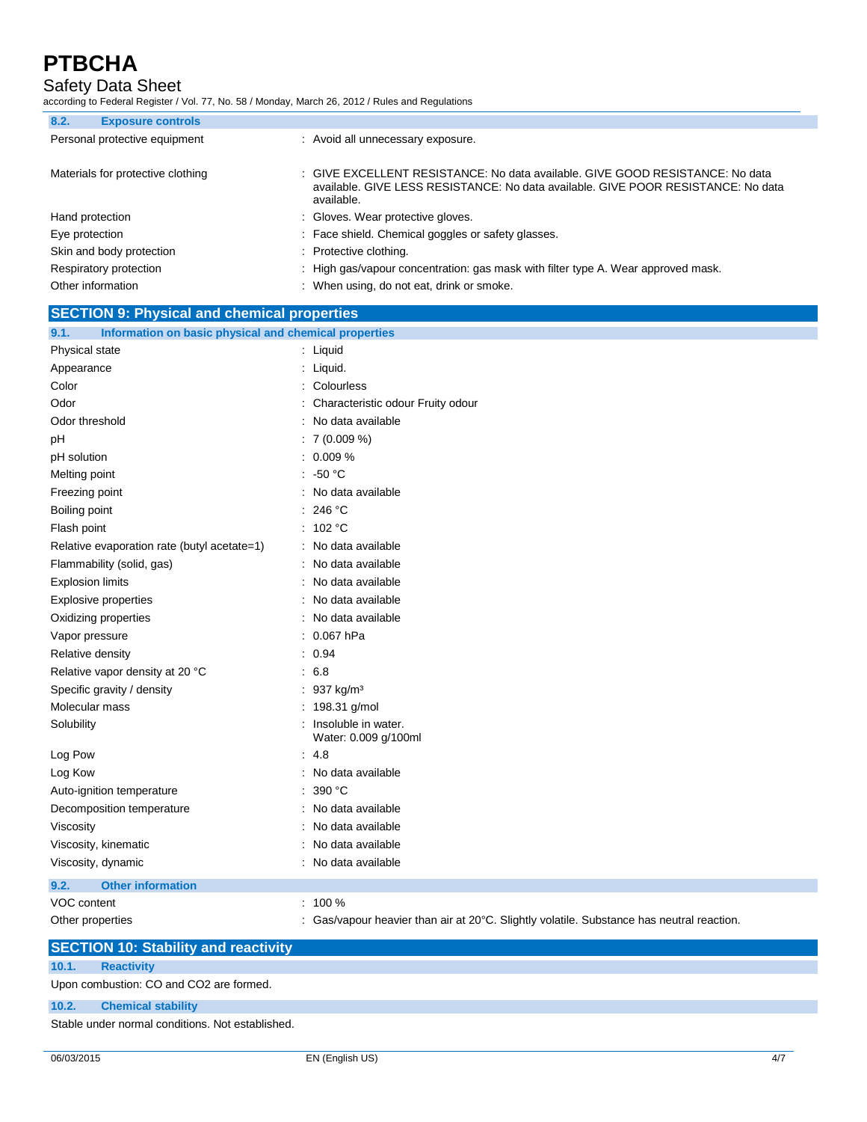Safety Data Sheet

according to Federal Register / Vol. 77, No. 58 / Monday, March 26, 2012 / Rules and Regulations

| 8.2.<br><b>Exposure controls</b>  |                                                                                                                                                                                  |
|-----------------------------------|----------------------------------------------------------------------------------------------------------------------------------------------------------------------------------|
| Personal protective equipment     | : Avoid all unnecessary exposure.                                                                                                                                                |
| Materials for protective clothing | : GIVE EXCELLENT RESISTANCE: No data available. GIVE GOOD RESISTANCE: No data<br>available. GIVE LESS RESISTANCE: No data available. GIVE POOR RESISTANCE: No data<br>available. |
| Hand protection                   | : Gloves. Wear protective gloves.                                                                                                                                                |
| Eye protection                    | : Face shield. Chemical goggles or safety glasses.                                                                                                                               |
| Skin and body protection          | : Protective clothing.                                                                                                                                                           |
| Respiratory protection            | : High gas/vapour concentration: gas mask with filter type A. Wear approved mask.                                                                                                |
| Other information                 | : When using, do not eat, drink or smoke.                                                                                                                                        |
|                                   |                                                                                                                                                                                  |

| <b>SECTION 9: Physical and chemical properties</b>            |                                                                                           |  |
|---------------------------------------------------------------|-------------------------------------------------------------------------------------------|--|
| 9.1.<br>Information on basic physical and chemical properties |                                                                                           |  |
| Physical state                                                | : Liquid                                                                                  |  |
| Appearance                                                    | : Liquid.                                                                                 |  |
| Color                                                         | : Colourless                                                                              |  |
| Odor                                                          | : Characteristic odour Fruity odour                                                       |  |
| Odor threshold                                                | : No data available                                                                       |  |
| pH                                                            | : 7(0.009%)                                                                               |  |
| pH solution                                                   | : 0.009%                                                                                  |  |
| Melting point                                                 | $: -50 °C$                                                                                |  |
| Freezing point                                                | : No data available                                                                       |  |
| Boiling point                                                 | : 246 °C                                                                                  |  |
| Flash point                                                   | : $102 °C$                                                                                |  |
| Relative evaporation rate (butyl acetate=1)                   | : No data available                                                                       |  |
| Flammability (solid, gas)                                     | : No data available                                                                       |  |
| <b>Explosion limits</b>                                       | : No data available                                                                       |  |
| <b>Explosive properties</b>                                   | : No data available                                                                       |  |
| Oxidizing properties                                          | : No data available                                                                       |  |
| Vapor pressure                                                | $: 0.067$ hPa                                                                             |  |
| Relative density                                              | : 0.94                                                                                    |  |
| Relative vapor density at 20 °C                               | : 6.8                                                                                     |  |
| Specific gravity / density                                    | : 937 kg/m <sup>3</sup>                                                                   |  |
| Molecular mass                                                | : 198.31 g/mol                                                                            |  |
| Solubility                                                    | : Insoluble in water.<br>Water: 0.009 g/100ml                                             |  |
| Log Pow                                                       | .4.8                                                                                      |  |
| Log Kow                                                       | : No data available                                                                       |  |
| Auto-ignition temperature                                     | : 390 °C                                                                                  |  |
| Decomposition temperature                                     | : No data available                                                                       |  |
| Viscosity                                                     | No data available                                                                         |  |
| Viscosity, kinematic                                          | No data available                                                                         |  |
| Viscosity, dynamic                                            | : No data available                                                                       |  |
| 9.2.<br><b>Other information</b>                              |                                                                                           |  |
| VOC content                                                   | $: 100 \%$                                                                                |  |
| Other properties                                              | : Gas/vapour heavier than air at 20°C. Slightly volatile. Substance has neutral reaction. |  |

|       | <b>SECTION 10: Stability and reactivity</b>      |  |  |  |
|-------|--------------------------------------------------|--|--|--|
| 10.1. | <b>Reactivity</b>                                |  |  |  |
|       | Upon combustion: CO and CO2 are formed.          |  |  |  |
| 10.2. | <b>Chemical stability</b>                        |  |  |  |
|       | Stable under normal conditions. Not established. |  |  |  |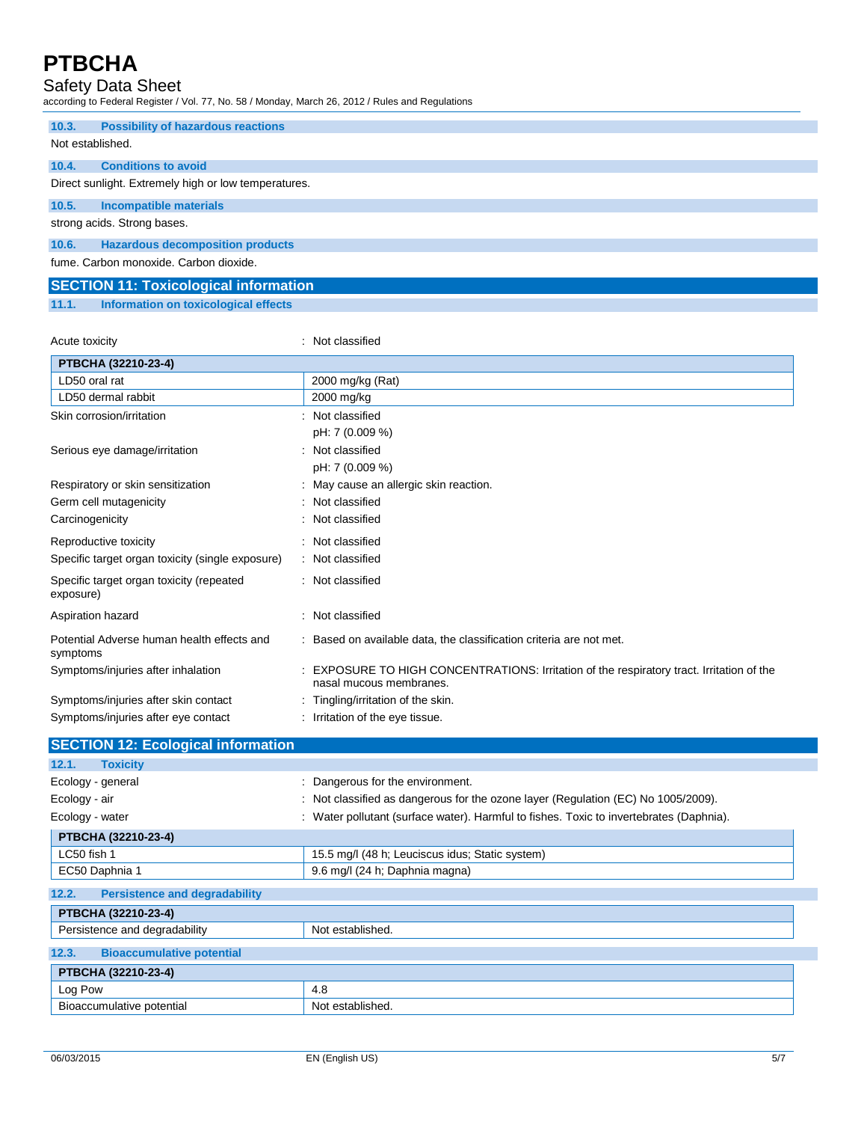### Safety Data Sheet

according to Federal Register / Vol. 77, No. 58 / Monday, March 26, 2012 / Rules and Regulations

| 10.3.            | <b>Possibility of hazardous reactions</b>            |
|------------------|------------------------------------------------------|
| Not established. |                                                      |
|                  |                                                      |
| 10.4.            | <b>Conditions to avoid</b>                           |
|                  | Direct sunlight. Extremely high or low temperatures. |
| 10.5.            | <b>Incompatible materials</b>                        |
|                  | strong acids. Strong bases.                          |
| 10.6.            | <b>Hazardous decomposition products</b>              |
|                  | fume. Carbon monoxide. Carbon dioxide.               |
|                  | <b>SECTION 11: Toxicological information</b>         |

### **11.1. Information on toxicological effects**

Acute toxicity **in the case of the contract of the contract of the contract of the contract of the contract of the contract of the contract of the contract of the contract of the contract of the contract of the contract of** 

| PTBCHA (32210-23-4)                                    |                                                                                                                    |
|--------------------------------------------------------|--------------------------------------------------------------------------------------------------------------------|
| LD50 oral rat                                          | 2000 mg/kg (Rat)                                                                                                   |
| LD50 dermal rabbit                                     | 2000 mg/kg                                                                                                         |
| Skin corrosion/irritation                              | : Not classified                                                                                                   |
|                                                        | pH: 7 (0.009 %)                                                                                                    |
| Serious eye damage/irritation                          | : Not classified                                                                                                   |
|                                                        | pH: 7 (0.009 %)                                                                                                    |
| Respiratory or skin sensitization                      | : May cause an allergic skin reaction.                                                                             |
| Germ cell mutagenicity                                 | : Not classified                                                                                                   |
| Carcinogenicity                                        | Not classified                                                                                                     |
| Reproductive toxicity                                  | : Not classified                                                                                                   |
| Specific target organ toxicity (single exposure)       | : Not classified                                                                                                   |
| Specific target organ toxicity (repeated<br>exposure)  | : Not classified                                                                                                   |
| Aspiration hazard                                      | : Not classified                                                                                                   |
| Potential Adverse human health effects and<br>symptoms | : Based on available data, the classification criteria are not met.                                                |
| Symptoms/injuries after inhalation                     | EXPOSURE TO HIGH CONCENTRATIONS: Irritation of the respiratory tract. Irritation of the<br>nasal mucous membranes. |
| Symptoms/injuries after skin contact                   | : Tingling/irritation of the skin.                                                                                 |
| Symptoms/injuries after eye contact                    | : Irritation of the eye tissue.                                                                                    |

| <b>SECTION 12: Ecological information</b>     |                                                                                         |
|-----------------------------------------------|-----------------------------------------------------------------------------------------|
| 12.1.<br><b>Toxicity</b>                      |                                                                                         |
| Ecology - general                             | : Dangerous for the environment.                                                        |
| Ecology - air                                 | : Not classified as dangerous for the ozone layer (Regulation (EC) No 1005/2009).       |
| Ecology - water                               | : Water pollutant (surface water). Harmful to fishes. Toxic to invertebrates (Daphnia). |
| PTBCHA (32210-23-4)                           |                                                                                         |
| LC50 fish 1                                   | 15.5 mg/l (48 h; Leuciscus idus; Static system)                                         |
| EC50 Daphnia 1                                | 9.6 mg/l (24 h; Daphnia magna)                                                          |
| 12.2.<br><b>Persistence and degradability</b> |                                                                                         |
| PTBCHA (32210-23-4)                           |                                                                                         |
| Persistence and degradability                 | Not established.                                                                        |
| 12.3.<br><b>Bioaccumulative potential</b>     |                                                                                         |
| PTBCHA (32210-23-4)                           |                                                                                         |
| Log Pow                                       | 4.8                                                                                     |
| Bioaccumulative potential                     | Not established.                                                                        |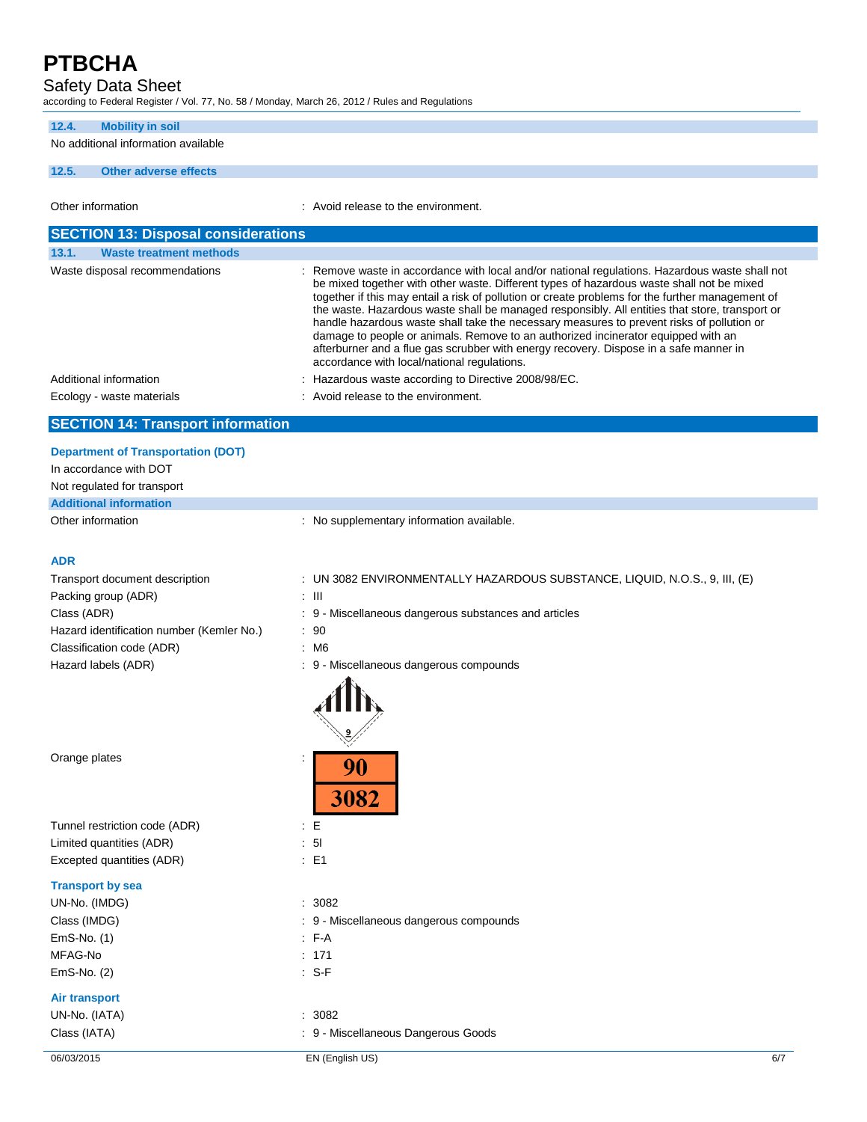### Safety Data Sheet

according to Federal Register / Vol. 77, No. 58 / Monday, March 26, 2012 / Rules and Regulations

### **12.4. Mobility in soil**

No additional information available

### **12.5. Other adverse effects**

Other information **in the environment.** Avoid release to the environment. **SECTION 13: Disposal considerations**

| <b>Waste treatment methods</b><br>13.1.                                                                                                                                                                                                                                                                                                                                                                                                                       |                                                                                                                                                                                                                                                                                                                                                                                                                                                                                                                                                                                                                                                                                                                             |
|---------------------------------------------------------------------------------------------------------------------------------------------------------------------------------------------------------------------------------------------------------------------------------------------------------------------------------------------------------------------------------------------------------------------------------------------------------------|-----------------------------------------------------------------------------------------------------------------------------------------------------------------------------------------------------------------------------------------------------------------------------------------------------------------------------------------------------------------------------------------------------------------------------------------------------------------------------------------------------------------------------------------------------------------------------------------------------------------------------------------------------------------------------------------------------------------------------|
| Waste disposal recommendations                                                                                                                                                                                                                                                                                                                                                                                                                                | : Remove waste in accordance with local and/or national regulations. Hazardous waste shall not<br>be mixed together with other waste. Different types of hazardous waste shall not be mixed<br>together if this may entail a risk of pollution or create problems for the further management of<br>the waste. Hazardous waste shall be managed responsibly. All entities that store, transport or<br>handle hazardous waste shall take the necessary measures to prevent risks of pollution or<br>damage to people or animals. Remove to an authorized incinerator equipped with an<br>afterburner and a flue gas scrubber with energy recovery. Dispose in a safe manner in<br>accordance with local/national regulations. |
| Additional information                                                                                                                                                                                                                                                                                                                                                                                                                                        | : Hazardous waste according to Directive 2008/98/EC.                                                                                                                                                                                                                                                                                                                                                                                                                                                                                                                                                                                                                                                                        |
| Ecology - waste materials                                                                                                                                                                                                                                                                                                                                                                                                                                     | : Avoid release to the environment.                                                                                                                                                                                                                                                                                                                                                                                                                                                                                                                                                                                                                                                                                         |
| $\overline{\mathbf{A}}$ $\overline{\mathbf{B}}$ $\overline{\mathbf{A}}$ $\overline{\mathbf{B}}$ $\overline{\mathbf{A}}$ $\overline{\mathbf{B}}$ $\overline{\mathbf{B}}$ $\overline{\mathbf{A}}$ $\overline{\mathbf{B}}$ $\overline{\mathbf{A}}$ $\overline{\mathbf{B}}$ $\overline{\mathbf{A}}$ $\overline{\mathbf{B}}$ $\overline{\mathbf{A}}$ $\overline{\mathbf{B}}$ $\overline{\mathbf{A}}$ $\overline{\mathbf{B}}$ $\overline{\mathbf{A}}$ $\overline{\$ |                                                                                                                                                                                                                                                                                                                                                                                                                                                                                                                                                                                                                                                                                                                             |

## **SECTION 14: Transport information**

| <b>Department of Transportation (DOT)</b> |                                           |
|-------------------------------------------|-------------------------------------------|
| In accordance with DOT                    |                                           |
| Not regulated for transport               |                                           |
| <b>Additional information</b>             |                                           |
| Other information                         | : No supplementary information available. |

### **ADR**

| Transport document description            | UN 3082 ENVIRONMENTALLY HAZARDOUS SUBSTANCE, LIQUID, N.O.S., 9, III, (E) |
|-------------------------------------------|--------------------------------------------------------------------------|
| Packing group (ADR)                       | : III                                                                    |
| Class (ADR)                               | : 9 - Miscellaneous dangerous substances and articles                    |
| Hazard identification number (Kemler No.) | $\therefore$ 90                                                          |
| Classification code (ADR)                 | M6                                                                       |
| Hazard labels (ADR)                       | : 9 - Miscellaneous dangerous compounds                                  |
|                                           |                                                                          |

90

3082

Orange plates in the set of the set of the set of the set of the set of the set of the set of the set of the set of the set of the set of the set of the set of the set of the set of the set of the set of the set of the set

Tunnel restriction code (ADR) : E Limited quantities (ADR) : 5l Excepted quantities (ADR) : E1

#### **Transport by sea**

| UN-No. (IMDG) | : 3082    |
|---------------|-----------|
| Class (IMDG)  | $: 9 - M$ |
| $EmS-No.$ (1) | : F-A     |
| MFAG-No       | : 171     |
| $EmS-No.$ (2) | : S-F     |
|               |           |

### **Air transport**

UN-No. (IATA) : 3082

: 9 - Miscellaneous dangerous compounds